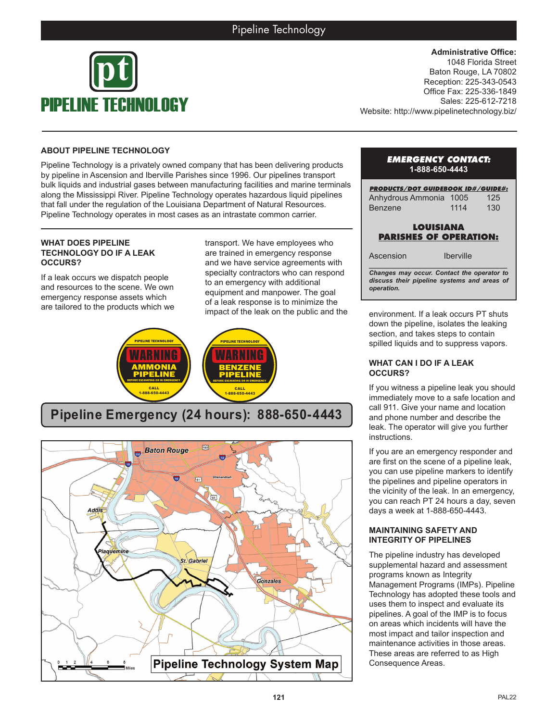

**Administrative Office:** 1048 Florida Street Baton Rouge, LA 70802 Reception: 225-343-0543 Office Fax: 225-336-1849 Sales: 225-612-7218 Website: http://www.pipelinetechnology.biz/

# **ABOUT PIPELINE TECHNOLOGY**

Pipeline Technology is a privately owned company that has been delivering products by pipeline in Ascension and Iberville Parishes since 1996. Our pipelines transport bulk liquids and industrial gases between manufacturing facilities and marine terminals along the Mississippi River. Pipeline Technology operates hazardous liquid pipelines that fall under the regulation of the Louisiana Department of Natural Resources. Pipeline Technology operates in most cases as an intrastate common carrier.

#### **WHAT DOES PIPELINE TECHNOLOGY DO IF A LEAK OCCURS?**

If a leak occurs we dispatch people and resources to the scene. We own emergency response assets which are tailored to the products which we transport. We have employees who are trained in emergency response and we have service agreements with specialty contractors who can respond to an emergency with additional equipment and manpower. The goal of a leak response is to minimize the impact of the leak on the public and the  $\qquad$  environment. If a leak occurs PT shuts



# **Pipeline Emergency (24 hours): 888-650-4443**



#### *EMERGENCY CONTACT:* **1-888-650-4443**

| <b>PRODUCTS/DOT GUIDEBOOK ID#/GUIDE#:</b><br>Anhydrous Ammonia 1005<br><b>Benzene</b> | 1114             | 125<br>130 |  |  |
|---------------------------------------------------------------------------------------|------------------|------------|--|--|
| <b>LOUISIANA</b><br><b>PARISHES OF OPERATION:</b>                                     |                  |            |  |  |
| Ascension                                                                             | <b>Iberville</b> |            |  |  |
| Changes may occur. Contact the operator to                                            |                  |            |  |  |

*discuss their pipeline systems and areas of operation.*

down the pipeline, isolates the leaking section, and takes steps to contain spilled liquids and to suppress vapors.

#### **WHAT CAN I DO IF A LEAK OCCURS?**

If you witness a pipeline leak you should immediately move to a safe location and call 911. Give your name and location and phone number and describe the leak. The operator will give you further instructions.

If you are an emergency responder and are first on the scene of a pipeline leak, you can use pipeline markers to identify the pipelines and pipeline operators in the vicinity of the leak. In an emergency, you can reach PT 24 hours a day, seven days a week at 1-888-650-4443.

# **MAINTAINING SAFETY AND INTEGRITY OF PIPELINES**

The pipeline industry has developed supplemental hazard and assessment programs known as Integrity Management Programs (IMPs). Pipeline Technology has adopted these tools and uses them to inspect and evaluate its pipelines. A goal of the IMP is to focus on areas which incidents will have the most impact and tailor inspection and maintenance activities in those areas. These areas are referred to as High Consequence Areas.